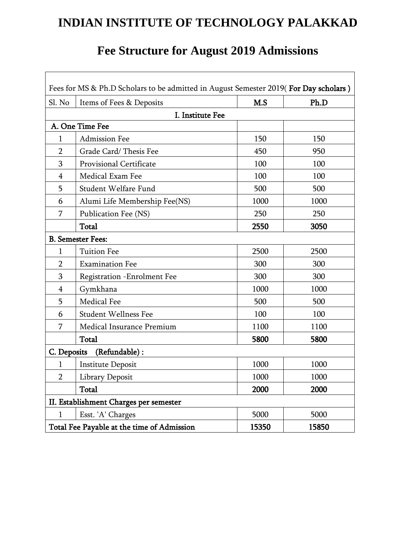# **INDIAN INSTITUTE OF TECHNOLOGY PALAKKAD**

## **Fee Structure for August 2019 Admissions**

 $\overline{\phantom{a}}$ 

 $\mathbf{r}$ 

| Fees for MS & Ph.D Scholars to be admitted in August Semester 2019(For Day scholars) |                                    |       |       |
|--------------------------------------------------------------------------------------|------------------------------------|-------|-------|
| Sl. No                                                                               | Items of Fees & Deposits           | M.S   | Ph.D  |
| I. Institute Fee                                                                     |                                    |       |       |
| A. One Time Fee                                                                      |                                    |       |       |
| $\mathbf{1}$                                                                         | <b>Admission Fee</b>               | 150   | 150   |
| $\overline{2}$                                                                       | Grade Card/Thesis Fee              | 450   | 950   |
| 3                                                                                    | Provisional Certificate            | 100   | 100   |
| 4                                                                                    | Medical Exam Fee                   | 100   | 100   |
| 5                                                                                    | Student Welfare Fund               | 500   | 500   |
| 6                                                                                    | Alumi Life Membership Fee(NS)      | 1000  | 1000  |
| 7                                                                                    | Publication Fee (NS)               | 250   | 250   |
|                                                                                      | Total                              | 2550  | 3050  |
| <b>B.</b> Semester Fees:                                                             |                                    |       |       |
| 1                                                                                    | <b>Tuition Fee</b>                 | 2500  | 2500  |
| $\overline{2}$                                                                       | <b>Examination Fee</b>             | 300   | 300   |
| 3                                                                                    | <b>Registration -Enrolment Fee</b> | 300   | 300   |
| 4                                                                                    | Gymkhana                           | 1000  | 1000  |
| 5                                                                                    | Medical Fee                        | 500   | 500   |
| 6                                                                                    | <b>Student Wellness Fee</b>        | 100   | 100   |
| 7                                                                                    | Medical Insurance Premium          | 1100  | 1100  |
|                                                                                      | Total                              | 5800  | 5800  |
| C. Deposits<br>(Refundable):                                                         |                                    |       |       |
| 1                                                                                    | <b>Institute Deposit</b>           | 1000  | 1000  |
| $\overline{2}$                                                                       | Library Deposit                    | 1000  | 1000  |
|                                                                                      | Total                              | 2000  | 2000  |
| II. Establishment Charges per semester                                               |                                    |       |       |
| $\mathbf{1}$                                                                         | Esst. 'A' Charges                  | 5000  | 5000  |
| Total Fee Payable at the time of Admission                                           |                                    | 15350 | 15850 |